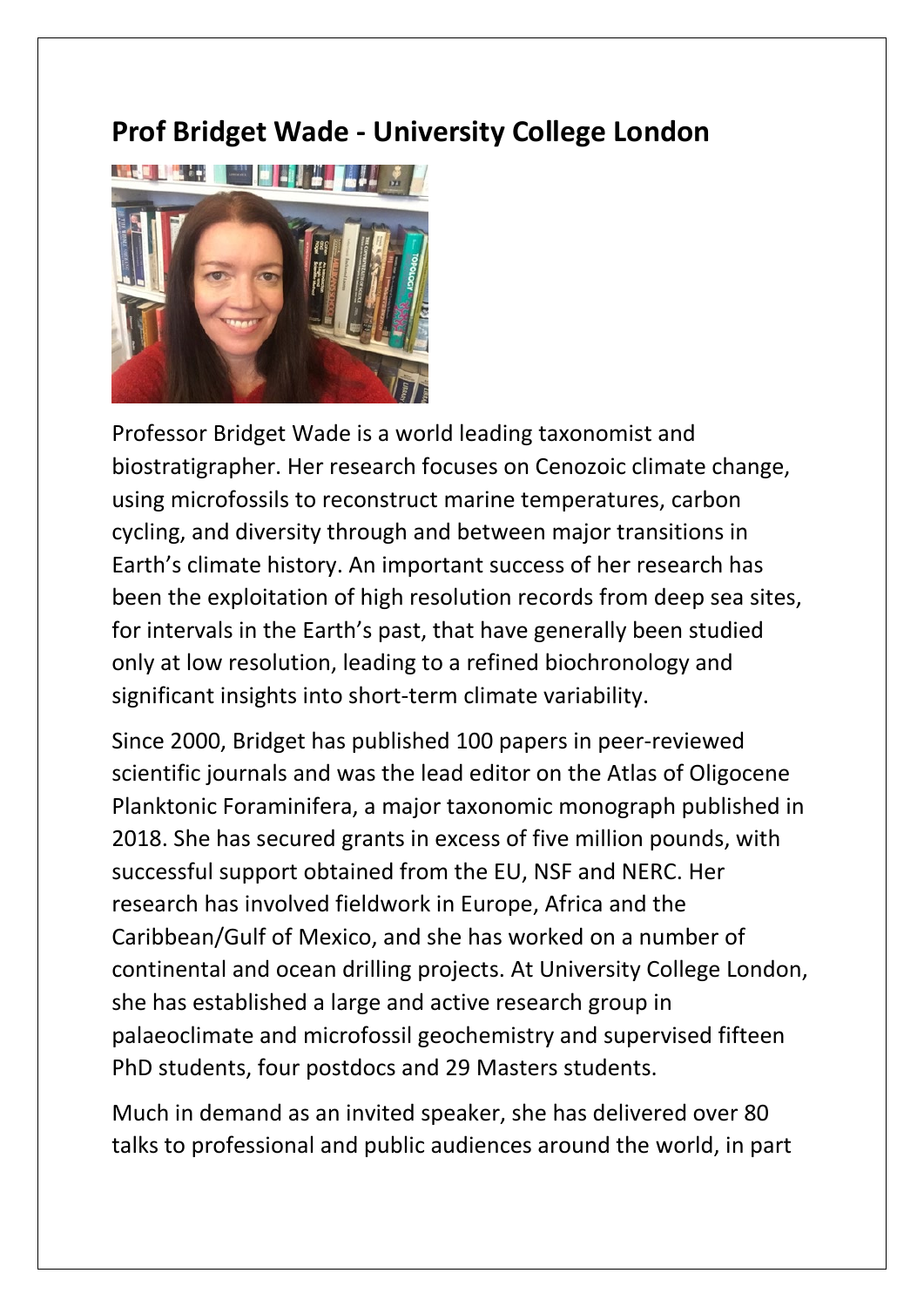## **Prof Bridget Wade - University College London**



Professor Bridget Wade is a world leading taxonomist and biostratigrapher. Her research focuses on Cenozoic climate change, using microfossils to reconstruct marine temperatures, carbon cycling, and diversity through and between major transitions in Earth's climate history. An important success of her research has been the exploitation of high resolution records from deep sea sites, for intervals in the Earth's past, that have generally been studied only at low resolution, leading to a refined biochronology and significant insights into short-term climate variability.

Since 2000, Bridget has published 100 papers in peer-reviewed scientific journals and was the lead editor on the Atlas of Oligocene Planktonic Foraminifera, a major taxonomic monograph published in 2018. She has secured grants in excess of five million pounds, with successful support obtained from the EU, NSF and NERC. Her research has involved fieldwork in Europe, Africa and the Caribbean/Gulf of Mexico, and she has worked on a number of continental and ocean drilling projects. At University College London, she has established a large and active research group in palaeoclimate and microfossil geochemistry and supervised fifteen PhD students, four postdocs and 29 Masters students.

Much in demand as an invited speaker, she has delivered over 80 talks to professional and public audiences around the world, in part